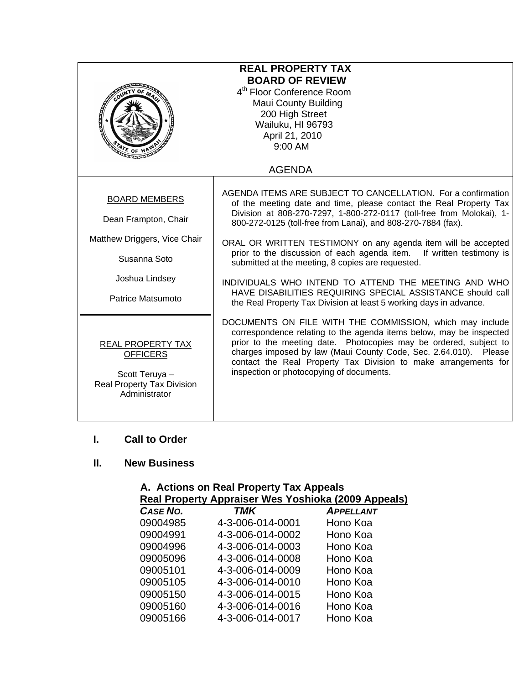| <b>REAL PROPERTY TAX</b><br><b>BOARD OF REVIEW</b><br>4 <sup>th</sup> Floor Conference Room<br><b>Maui County Building</b><br>200 High Street<br>Wailuku, HI 96793<br>April 21, 2010<br>9:00 AM<br>ATE OF |                                                                                                                                                                                                                                                                                                                                                                                                                                                                                                                                                                                                                                                                          |  |
|-----------------------------------------------------------------------------------------------------------------------------------------------------------------------------------------------------------|--------------------------------------------------------------------------------------------------------------------------------------------------------------------------------------------------------------------------------------------------------------------------------------------------------------------------------------------------------------------------------------------------------------------------------------------------------------------------------------------------------------------------------------------------------------------------------------------------------------------------------------------------------------------------|--|
|                                                                                                                                                                                                           | <b>AGENDA</b>                                                                                                                                                                                                                                                                                                                                                                                                                                                                                                                                                                                                                                                            |  |
| <b>BOARD MEMBERS</b><br>Dean Frampton, Chair<br>Matthew Driggers, Vice Chair<br>Susanna Soto<br>Joshua Lindsey<br>Patrice Matsumoto                                                                       | AGENDA ITEMS ARE SUBJECT TO CANCELLATION. For a confirmation<br>of the meeting date and time, please contact the Real Property Tax<br>Division at 808-270-7297, 1-800-272-0117 (toll-free from Molokai), 1-<br>800-272-0125 (toll-free from Lanai), and 808-270-7884 (fax).<br>ORAL OR WRITTEN TESTIMONY on any agenda item will be accepted<br>prior to the discussion of each agenda item.<br>If written testimony is<br>submitted at the meeting, 8 copies are requested.<br>INDIVIDUALS WHO INTEND TO ATTEND THE MEETING AND WHO<br>HAVE DISABILITIES REQUIRING SPECIAL ASSISTANCE should call<br>the Real Property Tax Division at least 5 working days in advance. |  |
| <b>REAL PROPERTY TAX</b><br><b>OFFICERS</b><br>Scott Teruya -<br><b>Real Property Tax Division</b><br>Administrator                                                                                       | DOCUMENTS ON FILE WITH THE COMMISSION, which may include<br>correspondence relating to the agenda items below, may be inspected<br>prior to the meeting date. Photocopies may be ordered, subject to<br>charges imposed by law (Maui County Code, Sec. 2.64.010). Please<br>contact the Real Property Tax Division to make arrangements for<br>inspection or photocopying of documents.                                                                                                                                                                                                                                                                                  |  |

### **I. Call to Order**

## **II. New Business**

#### **A. Actions on Real Property Tax Appeals Real Property Appraiser Wes Yoshioka (2009 Appeals)**

| $\cdots$         | $1 - 3 - 7 - 1 - 1 - 3 - 1 - 1$ |
|------------------|---------------------------------|
| <b>TMK</b>       | <b>APPELLANT</b>                |
| 4-3-006-014-0001 | Hono Koa                        |
| 4-3-006-014-0002 | Hono Koa                        |
| 4-3-006-014-0003 | Hono Koa                        |
| 4-3-006-014-0008 | Hono Koa                        |
| 4-3-006-014-0009 | Hono Koa                        |
| 4-3-006-014-0010 | Hono Koa                        |
| 4-3-006-014-0015 | Hono Koa                        |
| 4-3-006-014-0016 | Hono Koa                        |
| 4-3-006-014-0017 | Hono Koa                        |
|                  |                                 |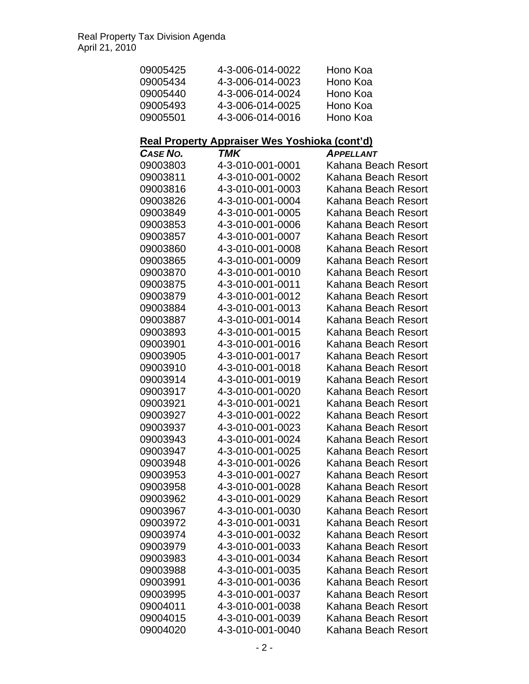| 09005425 | 4-3-006-014-0022 | Hono Koa |
|----------|------------------|----------|
| 09005434 | 4-3-006-014-0023 | Hono Koa |
| 09005440 | 4-3-006-014-0024 | Hono Koa |
| 09005493 | 4-3-006-014-0025 | Hono Koa |
| 09005501 | 4-3-006-014-0016 | Hono Koa |

# **Real Property Appraiser Wes Yoshioka (cont'd)**

| CASE NO. | TMK              | <b>APPELLANT</b>    |
|----------|------------------|---------------------|
| 09003803 | 4-3-010-001-0001 | Kahana Beach Resort |
| 09003811 | 4-3-010-001-0002 | Kahana Beach Resort |
| 09003816 | 4-3-010-001-0003 | Kahana Beach Resort |
| 09003826 | 4-3-010-001-0004 | Kahana Beach Resort |
| 09003849 | 4-3-010-001-0005 | Kahana Beach Resort |
| 09003853 | 4-3-010-001-0006 | Kahana Beach Resort |
| 09003857 | 4-3-010-001-0007 | Kahana Beach Resort |
| 09003860 | 4-3-010-001-0008 | Kahana Beach Resort |
| 09003865 | 4-3-010-001-0009 | Kahana Beach Resort |
| 09003870 | 4-3-010-001-0010 | Kahana Beach Resort |
| 09003875 | 4-3-010-001-0011 | Kahana Beach Resort |
| 09003879 | 4-3-010-001-0012 | Kahana Beach Resort |
| 09003884 | 4-3-010-001-0013 | Kahana Beach Resort |
| 09003887 | 4-3-010-001-0014 | Kahana Beach Resort |
| 09003893 | 4-3-010-001-0015 | Kahana Beach Resort |
| 09003901 | 4-3-010-001-0016 | Kahana Beach Resort |
| 09003905 | 4-3-010-001-0017 | Kahana Beach Resort |
| 09003910 | 4-3-010-001-0018 | Kahana Beach Resort |
| 09003914 | 4-3-010-001-0019 | Kahana Beach Resort |
| 09003917 | 4-3-010-001-0020 | Kahana Beach Resort |
| 09003921 | 4-3-010-001-0021 | Kahana Beach Resort |
| 09003927 | 4-3-010-001-0022 | Kahana Beach Resort |
| 09003937 | 4-3-010-001-0023 | Kahana Beach Resort |
| 09003943 | 4-3-010-001-0024 | Kahana Beach Resort |
| 09003947 | 4-3-010-001-0025 | Kahana Beach Resort |
| 09003948 | 4-3-010-001-0026 | Kahana Beach Resort |
| 09003953 | 4-3-010-001-0027 | Kahana Beach Resort |
| 09003958 | 4-3-010-001-0028 | Kahana Beach Resort |
| 09003962 | 4-3-010-001-0029 | Kahana Beach Resort |
| 09003967 | 4-3-010-001-0030 | Kahana Beach Resort |
| 09003972 | 4-3-010-001-0031 | Kahana Beach Resort |
| 09003974 | 4-3-010-001-0032 | Kahana Beach Resort |
| 09003979 | 4-3-010-001-0033 | Kahana Beach Resort |
| 09003983 | 4-3-010-001-0034 | Kahana Beach Resort |
| 09003988 | 4-3-010-001-0035 | Kahana Beach Resort |
| 09003991 | 4-3-010-001-0036 | Kahana Beach Resort |
| 09003995 | 4-3-010-001-0037 | Kahana Beach Resort |
| 09004011 | 4-3-010-001-0038 | Kahana Beach Resort |
| 09004015 | 4-3-010-001-0039 | Kahana Beach Resort |
| 09004020 | 4-3-010-001-0040 | Kahana Beach Resort |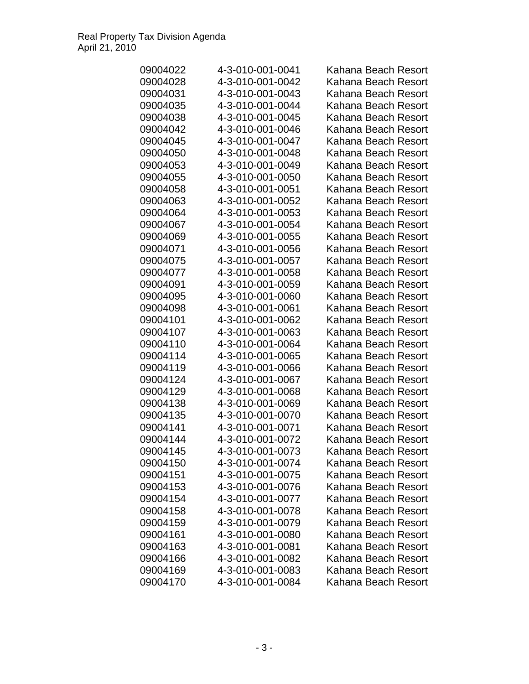| 09004022 | 4-3-010-001-0041 | Kahana Beach Resort |
|----------|------------------|---------------------|
| 09004028 | 4-3-010-001-0042 | Kahana Beach Resort |
| 09004031 | 4-3-010-001-0043 | Kahana Beach Resort |
| 09004035 | 4-3-010-001-0044 | Kahana Beach Resort |
| 09004038 | 4-3-010-001-0045 | Kahana Beach Resort |
| 09004042 | 4-3-010-001-0046 | Kahana Beach Resort |
| 09004045 | 4-3-010-001-0047 | Kahana Beach Resort |
| 09004050 | 4-3-010-001-0048 | Kahana Beach Resort |
| 09004053 | 4-3-010-001-0049 | Kahana Beach Resort |
| 09004055 | 4-3-010-001-0050 | Kahana Beach Resort |
| 09004058 | 4-3-010-001-0051 | Kahana Beach Resort |
| 09004063 | 4-3-010-001-0052 | Kahana Beach Resort |
| 09004064 | 4-3-010-001-0053 | Kahana Beach Resort |
| 09004067 | 4-3-010-001-0054 | Kahana Beach Resort |
| 09004069 | 4-3-010-001-0055 | Kahana Beach Resort |
| 09004071 | 4-3-010-001-0056 | Kahana Beach Resort |
| 09004075 | 4-3-010-001-0057 | Kahana Beach Resort |
| 09004077 | 4-3-010-001-0058 | Kahana Beach Resort |
| 09004091 | 4-3-010-001-0059 | Kahana Beach Resort |
| 09004095 | 4-3-010-001-0060 | Kahana Beach Resort |
| 09004098 | 4-3-010-001-0061 | Kahana Beach Resort |
| 09004101 | 4-3-010-001-0062 | Kahana Beach Resort |
| 09004107 | 4-3-010-001-0063 | Kahana Beach Resort |
| 09004110 | 4-3-010-001-0064 | Kahana Beach Resort |
| 09004114 | 4-3-010-001-0065 | Kahana Beach Resort |
| 09004119 | 4-3-010-001-0066 | Kahana Beach Resort |
| 09004124 | 4-3-010-001-0067 | Kahana Beach Resort |
| 09004129 | 4-3-010-001-0068 | Kahana Beach Resort |
| 09004138 | 4-3-010-001-0069 | Kahana Beach Resort |
| 09004135 | 4-3-010-001-0070 | Kahana Beach Resort |
| 09004141 | 4-3-010-001-0071 | Kahana Beach Resort |
| 09004144 | 4-3-010-001-0072 | Kahana Beach Resort |
| 09004145 | 4-3-010-001-0073 | Kahana Beach Resort |
| 09004150 | 4-3-010-001-0074 | Kahana Beach Resort |
| 09004151 | 4-3-010-001-0075 | Kahana Beach Resort |
| 09004153 | 4-3-010-001-0076 | Kahana Beach Resort |
| 09004154 | 4-3-010-001-0077 | Kahana Beach Resort |
| 09004158 | 4-3-010-001-0078 | Kahana Beach Resort |
| 09004159 | 4-3-010-001-0079 | Kahana Beach Resort |
| 09004161 | 4-3-010-001-0080 | Kahana Beach Resort |
| 09004163 | 4-3-010-001-0081 | Kahana Beach Resort |
| 09004166 | 4-3-010-001-0082 | Kahana Beach Resort |
| 09004169 | 4-3-010-001-0083 | Kahana Beach Resort |
| 09004170 | 4-3-010-001-0084 | Kahana Beach Resort |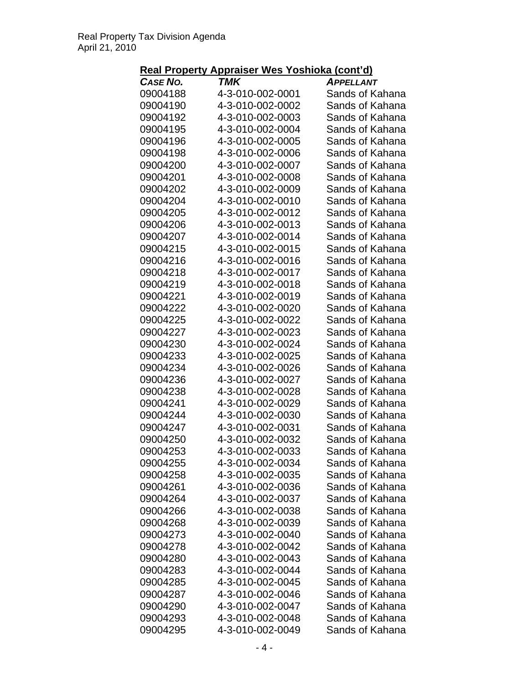## **Real Property Appraiser Wes Yoshioka (cont'd)**

| CASE NO.             | TMK                                  | <b>APPELLANT</b>                   |
|----------------------|--------------------------------------|------------------------------------|
| 09004188             | 4-3-010-002-0001                     | Sands of Kahana                    |
| 09004190             | 4-3-010-002-0002                     | Sands of Kahana                    |
| 09004192             | 4-3-010-002-0003                     | Sands of Kahana                    |
| 09004195             | 4-3-010-002-0004                     | Sands of Kahana                    |
| 09004196             | 4-3-010-002-0005                     | Sands of Kahana                    |
| 09004198             | 4-3-010-002-0006                     | Sands of Kahana                    |
| 09004200             | 4-3-010-002-0007                     | Sands of Kahana                    |
| 09004201             | 4-3-010-002-0008                     | Sands of Kahana                    |
| 09004202             | 4-3-010-002-0009                     | Sands of Kahana                    |
| 09004204             | 4-3-010-002-0010                     | Sands of Kahana                    |
| 09004205             | 4-3-010-002-0012                     | Sands of Kahana                    |
| 09004206             | 4-3-010-002-0013                     | Sands of Kahana                    |
| 09004207             | 4-3-010-002-0014                     | Sands of Kahana                    |
| 09004215             | 4-3-010-002-0015                     | Sands of Kahana                    |
| 09004216             | 4-3-010-002-0016                     | Sands of Kahana                    |
| 09004218             | 4-3-010-002-0017                     | Sands of Kahana                    |
| 09004219             | 4-3-010-002-0018                     | Sands of Kahana                    |
| 09004221             | 4-3-010-002-0019                     | Sands of Kahana                    |
| 09004222             | 4-3-010-002-0020                     | Sands of Kahana                    |
| 09004225             | 4-3-010-002-0022                     | Sands of Kahana                    |
| 09004227             | 4-3-010-002-0023                     | Sands of Kahana                    |
| 09004230             | 4-3-010-002-0024                     | Sands of Kahana                    |
| 09004233             | 4-3-010-002-0025                     | Sands of Kahana                    |
| 09004234             | 4-3-010-002-0026                     | Sands of Kahana                    |
| 09004236             | 4-3-010-002-0027                     | Sands of Kahana                    |
| 09004238             | 4-3-010-002-0028                     | Sands of Kahana                    |
| 09004241             | 4-3-010-002-0029                     | Sands of Kahana                    |
| 09004244             | 4-3-010-002-0030                     | Sands of Kahana                    |
| 09004247             | 4-3-010-002-0031                     | Sands of Kahana                    |
| 09004250             | 4-3-010-002-0032                     | Sands of Kahana                    |
| 09004253             | 4-3-010-002-0033                     | Sands of Kahana                    |
| 09004255             | 4-3-010-002-0034                     | Sands of Kahana                    |
| 09004258             | 4-3-010-002-0035                     | Sands of Kahana                    |
| 09004261             | 4-3-010-002-0036                     | Sands of Kahana                    |
| 09004264             | 4-3-010-002-0037                     | Sands of Kahana                    |
| 09004266             | 4-3-010-002-0038                     | Sands of Kahana                    |
| 09004268             | 4-3-010-002-0039                     | Sands of Kahana                    |
| 09004273             | 4-3-010-002-0040                     | Sands of Kahana                    |
| 09004278             | 4-3-010-002-0042                     | Sands of Kahana                    |
| 09004280             | 4-3-010-002-0043                     | Sands of Kahana                    |
| 09004283             | 4-3-010-002-0044                     | Sands of Kahana                    |
| 09004285             | 4-3-010-002-0045                     | Sands of Kahana                    |
| 09004287<br>09004290 | 4-3-010-002-0046<br>4-3-010-002-0047 | Sands of Kahana<br>Sands of Kahana |
| 09004293             | 4-3-010-002-0048                     | Sands of Kahana                    |
| 09004295             | 4-3-010-002-0049                     | Sands of Kahana                    |
|                      |                                      |                                    |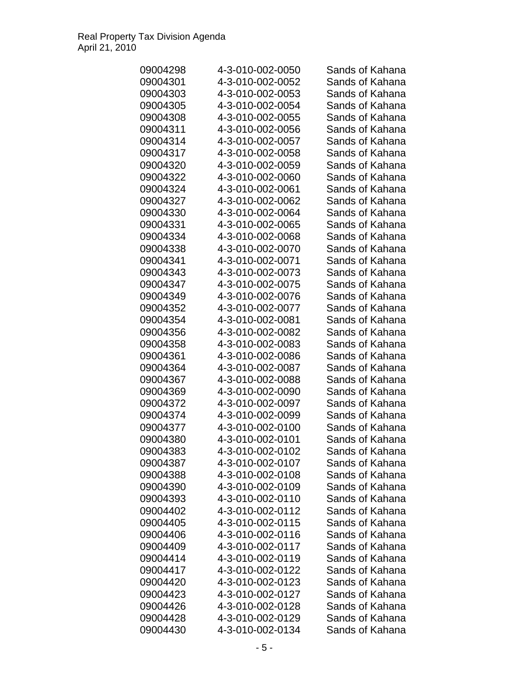| 09004298             | 4-3-010-002-0050                     | Sands of Kahana |
|----------------------|--------------------------------------|-----------------|
| 09004301             | 4-3-010-002-0052                     | Sands of Kahana |
| 09004303             | 4-3-010-002-0053                     | Sands of Kahana |
| 09004305             | 4-3-010-002-0054                     | Sands of Kahana |
| 09004308             | 4-3-010-002-0055                     | Sands of Kahana |
| 09004311             | 4-3-010-002-0056                     | Sands of Kahana |
| 09004314             | 4-3-010-002-0057                     | Sands of Kahana |
| 09004317             | 4-3-010-002-0058                     | Sands of Kahana |
| 09004320             | 4-3-010-002-0059                     | Sands of Kahana |
| 09004322             | 4-3-010-002-0060                     | Sands of Kahana |
| 09004324             | 4-3-010-002-0061                     | Sands of Kahana |
| 09004327             | 4-3-010-002-0062                     | Sands of Kahana |
| 09004330             | 4-3-010-002-0064                     | Sands of Kahana |
| 09004331             | 4-3-010-002-0065                     | Sands of Kahana |
| 09004334             | 4-3-010-002-0068                     | Sands of Kahana |
| 09004338             | 4-3-010-002-0070                     | Sands of Kahana |
| 09004341             | 4-3-010-002-0071                     | Sands of Kahana |
| 09004343             | 4-3-010-002-0073                     | Sands of Kahana |
| 09004347             | 4-3-010-002-0075                     | Sands of Kahana |
| 09004349             | 4-3-010-002-0076                     | Sands of Kahana |
| 09004352             | 4-3-010-002-0077                     | Sands of Kahana |
| 09004354             | 4-3-010-002-0081                     | Sands of Kahana |
| 09004356             | 4-3-010-002-0082                     | Sands of Kahana |
| 09004358             | 4-3-010-002-0083                     | Sands of Kahana |
| 09004361             | 4-3-010-002-0086                     | Sands of Kahana |
|                      |                                      | Sands of Kahana |
| 09004364             | 4-3-010-002-0087                     |                 |
| 09004367             | 4-3-010-002-0088                     | Sands of Kahana |
| 09004369<br>09004372 | 4-3-010-002-0090<br>4-3-010-002-0097 | Sands of Kahana |
|                      |                                      | Sands of Kahana |
| 09004374             | 4-3-010-002-0099                     | Sands of Kahana |
| 09004377             | 4-3-010-002-0100                     | Sands of Kahana |
| 09004380             | 4-3-010-002-0101                     | Sands of Kahana |
| 09004383             | 4-3-010-002-0102                     | Sands of Kahana |
| 09004387             | 4-3-010-002-0107                     | Sands of Kahana |
| 09004388             | 4-3-010-002-0108                     | Sands of Kahana |
| 09004390             | 4-3-010-002-0109                     | Sands of Kahana |
| 09004393             | 4-3-010-002-0110                     | Sands of Kahana |
| 09004402             | 4-3-010-002-0112                     | Sands of Kahana |
| 09004405             | 4-3-010-002-0115                     | Sands of Kahana |
| 09004406             | 4-3-010-002-0116                     | Sands of Kahana |
| 09004409             | 4-3-010-002-0117                     | Sands of Kahana |
| 09004414             | 4-3-010-002-0119                     | Sands of Kahana |
| 09004417             | 4-3-010-002-0122                     | Sands of Kahana |
| 09004420             | 4-3-010-002-0123                     | Sands of Kahana |
| 09004423             | 4-3-010-002-0127                     | Sands of Kahana |
| 09004426             | 4-3-010-002-0128                     | Sands of Kahana |
| 09004428             | 4-3-010-002-0129                     | Sands of Kahana |
| 09004430             | 4-3-010-002-0134                     | Sands of Kahana |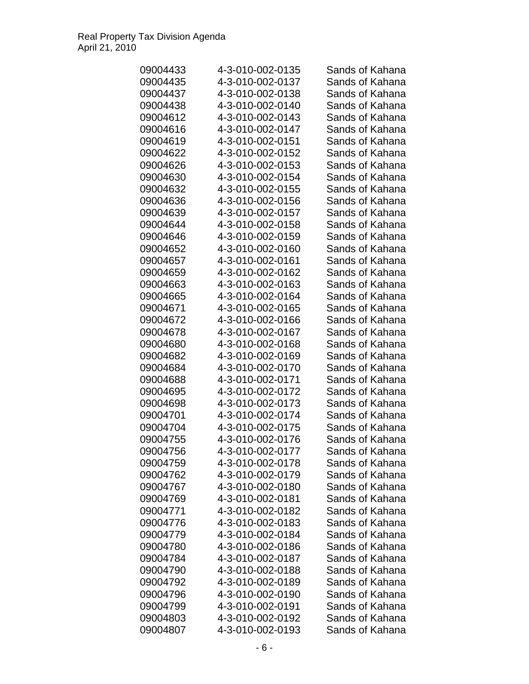| 09004433 | 4-3-010-002-0135 | Sands of Kahana |
|----------|------------------|-----------------|
| 09004435 | 4-3-010-002-0137 | Sands of Kahana |
| 09004437 | 4-3-010-002-0138 | Sands of Kahana |
| 09004438 | 4-3-010-002-0140 | Sands of Kahana |
| 09004612 | 4-3-010-002-0143 | Sands of Kahana |
| 09004616 | 4-3-010-002-0147 | Sands of Kahana |
| 09004619 | 4-3-010-002-0151 | Sands of Kahana |
| 09004622 | 4-3-010-002-0152 | Sands of Kahana |
| 09004626 | 4-3-010-002-0153 | Sands of Kahana |
| 09004630 | 4-3-010-002-0154 | Sands of Kahana |
| 09004632 | 4-3-010-002-0155 | Sands of Kahana |
| 09004636 | 4-3-010-002-0156 | Sands of Kahana |
| 09004639 | 4-3-010-002-0157 | Sands of Kahana |
| 09004644 | 4-3-010-002-0158 | Sands of Kahana |
| 09004646 | 4-3-010-002-0159 | Sands of Kahana |
| 09004652 | 4-3-010-002-0160 | Sands of Kahana |
| 09004657 | 4-3-010-002-0161 | Sands of Kahana |
| 09004659 | 4-3-010-002-0162 | Sands of Kahana |
| 09004663 | 4-3-010-002-0163 | Sands of Kahana |
| 09004665 | 4-3-010-002-0164 | Sands of Kahana |
| 09004671 | 4-3-010-002-0165 | Sands of Kahana |
| 09004672 | 4-3-010-002-0166 | Sands of Kahana |
| 09004678 | 4-3-010-002-0167 | Sands of Kahana |
| 09004680 | 4-3-010-002-0168 | Sands of Kahana |
| 09004682 | 4-3-010-002-0169 | Sands of Kahana |
| 09004684 | 4-3-010-002-0170 | Sands of Kahana |
| 09004688 | 4-3-010-002-0171 | Sands of Kahana |
| 09004695 | 4-3-010-002-0172 | Sands of Kahana |
| 09004698 | 4-3-010-002-0173 | Sands of Kahana |
| 09004701 | 4-3-010-002-0174 | Sands of Kahana |
| 09004704 | 4-3-010-002-0175 | Sands of Kahana |
| 09004755 | 4-3-010-002-0176 | Sands of Kahana |
| 09004756 | 4-3-010-002-0177 | Sands of Kahana |
| 09004759 | 4-3-010-002-0178 | Sands of Kahana |
| 09004762 | 4-3-010-002-0179 | Sands of Kahana |
|          | 4-3-010-002-0180 | Sands of Kahana |
| 09004767 |                  |                 |
| 09004769 | 4-3-010-002-0181 | Sands of Kahana |
| 09004771 | 4-3-010-002-0182 | Sands of Kahana |
| 09004776 | 4-3-010-002-0183 | Sands of Kahana |
| 09004779 | 4-3-010-002-0184 | Sands of Kahana |
| 09004780 | 4-3-010-002-0186 | Sands of Kahana |
| 09004784 | 4-3-010-002-0187 | Sands of Kahana |
| 09004790 | 4-3-010-002-0188 | Sands of Kahana |
| 09004792 | 4-3-010-002-0189 | Sands of Kahana |
| 09004796 | 4-3-010-002-0190 | Sands of Kahana |
| 09004799 | 4-3-010-002-0191 | Sands of Kahana |
| 09004803 | 4-3-010-002-0192 | Sands of Kahana |
| 09004807 | 4-3-010-002-0193 | Sands of Kahana |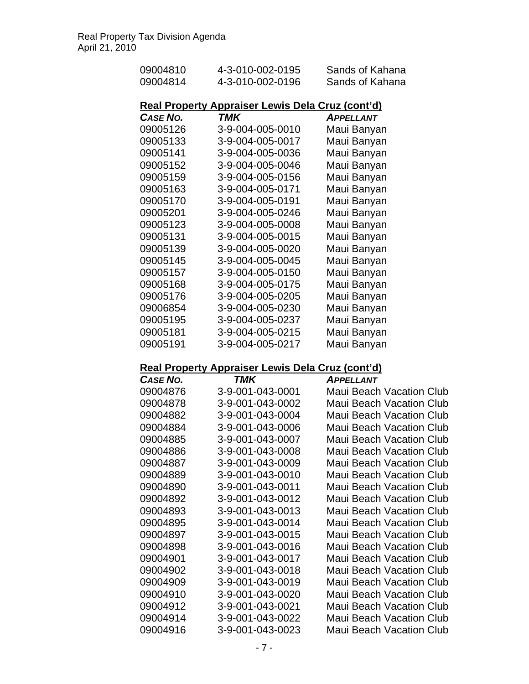| 09004810             | 4-3-010-002-0195                                        | Sands of Kahana                                      |
|----------------------|---------------------------------------------------------|------------------------------------------------------|
| 09004814             | 4-3-010-002-0196                                        | Sands of Kahana                                      |
|                      |                                                         |                                                      |
|                      | <b>Real Property Appraiser Lewis Dela Cruz (cont'd)</b> |                                                      |
| <b>CASE NO.</b>      | TMK                                                     | <b>APPELLANT</b>                                     |
| 09005126             | 3-9-004-005-0010                                        | Maui Banyan                                          |
| 09005133             | 3-9-004-005-0017                                        | Maui Banyan                                          |
| 09005141             | 3-9-004-005-0036                                        | Maui Banyan                                          |
| 09005152             | 3-9-004-005-0046                                        | Maui Banyan                                          |
| 09005159             | 3-9-004-005-0156                                        | Maui Banyan                                          |
| 09005163             | 3-9-004-005-0171                                        | Maui Banyan                                          |
| 09005170             | 3-9-004-005-0191                                        | Maui Banyan                                          |
| 09005201             | 3-9-004-005-0246                                        | Maui Banyan                                          |
| 09005123             | 3-9-004-005-0008                                        | Maui Banyan                                          |
| 09005131             | 3-9-004-005-0015                                        | Maui Banyan                                          |
| 09005139             | 3-9-004-005-0020                                        | Maui Banyan                                          |
| 09005145             | 3-9-004-005-0045                                        | Maui Banyan                                          |
| 09005157             | 3-9-004-005-0150                                        | Maui Banyan                                          |
| 09005168             | 3-9-004-005-0175                                        | Maui Banyan                                          |
| 09005176             | 3-9-004-005-0205                                        | Maui Banyan                                          |
| 09006854             | 3-9-004-005-0230                                        | Maui Banyan                                          |
| 09005195             | 3-9-004-005-0237                                        | Maui Banyan                                          |
| 09005181             | 3-9-004-005-0215                                        | Maui Banyan                                          |
| 09005191             | 3-9-004-005-0217                                        | Maui Banyan                                          |
|                      |                                                         |                                                      |
|                      |                                                         |                                                      |
|                      | Real Property Appraiser Lewis Dela Cruz (cont'd)        |                                                      |
| <b>CASE NO.</b>      | <b>TMK</b>                                              | <b>APPELLANT</b>                                     |
| 09004876             | 3-9-001-043-0001                                        | <b>Maui Beach Vacation Club</b>                      |
| 09004878             | 3-9-001-043-0002                                        | <b>Maui Beach Vacation Club</b>                      |
| 09004882             | 3-9-001-043-0004                                        | <b>Maui Beach Vacation Club</b>                      |
| 09004884             | 3-9-001-043-0006                                        | <b>Maui Beach Vacation Club</b>                      |
| 09004885             | 3-9-001-043-0007                                        | <b>Maui Beach Vacation Club</b>                      |
| 09004886             | 3-9-001-043-0008                                        | Maui Beach Vacation Club                             |
| 09004887             | 3-9-001-043-0009                                        | <b>Maui Beach Vacation Club</b>                      |
| 09004889             | 3-9-001-043-0010                                        | <b>Maui Beach Vacation Club</b>                      |
| 09004890             | 3-9-001-043-0011                                        | Maui Beach Vacation Club                             |
| 09004892             | 3-9-001-043-0012                                        | Maui Beach Vacation Club                             |
| 09004893             | 3-9-001-043-0013                                        | <b>Maui Beach Vacation Club</b>                      |
| 09004895             | 3-9-001-043-0014                                        | <b>Maui Beach Vacation Club</b>                      |
| 09004897             | 3-9-001-043-0015                                        | <b>Maui Beach Vacation Club</b>                      |
| 09004898             | 3-9-001-043-0016                                        | <b>Maui Beach Vacation Club</b>                      |
| 09004901             | 3-9-001-043-0017                                        | Maui Beach Vacation Club                             |
| 09004902             | 3-9-001-043-0018                                        | <b>Maui Beach Vacation Club</b>                      |
| 09004909             | 3-9-001-043-0019                                        | <b>Maui Beach Vacation Club</b>                      |
| 09004910             | 3-9-001-043-0020                                        | <b>Maui Beach Vacation Club</b>                      |
| 09004912             | 3-9-001-043-0021                                        | <b>Maui Beach Vacation Club</b>                      |
| 09004914<br>09004916 | 3-9-001-043-0022<br>3-9-001-043-0023                    | Maui Beach Vacation Club<br>Maui Beach Vacation Club |